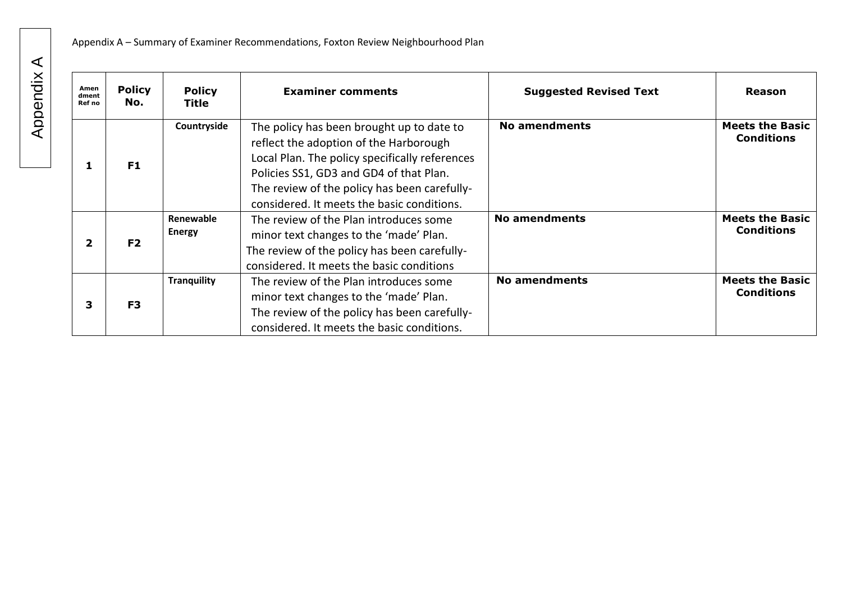| Amen<br>dment<br>Ref no | <b>Policy</b><br>No. | <b>Policy</b><br>Title     | <b>Examiner comments</b>                                                                                                                                                                                                                                                       | <b>Suggested Revised Text</b> | <b>Reason</b>                               |
|-------------------------|----------------------|----------------------------|--------------------------------------------------------------------------------------------------------------------------------------------------------------------------------------------------------------------------------------------------------------------------------|-------------------------------|---------------------------------------------|
|                         | F1                   | Countryside                | The policy has been brought up to date to<br>reflect the adoption of the Harborough<br>Local Plan. The policy specifically references<br>Policies SS1, GD3 and GD4 of that Plan.<br>The review of the policy has been carefully-<br>considered. It meets the basic conditions. | No amendments                 | <b>Meets the Basic</b><br><b>Conditions</b> |
| $\mathbf{2}$            | F <sub>2</sub>       | Renewable<br><b>Energy</b> | The review of the Plan introduces some<br>minor text changes to the 'made' Plan.<br>The review of the policy has been carefully-<br>considered. It meets the basic conditions                                                                                                  | No amendments                 | <b>Meets the Basic</b><br><b>Conditions</b> |
| 3                       | F <sub>3</sub>       | <b>Tranquility</b>         | The review of the Plan introduces some<br>minor text changes to the 'made' Plan.<br>The review of the policy has been carefully-<br>considered. It meets the basic conditions.                                                                                                 | No amendments                 | <b>Meets the Basic</b><br><b>Conditions</b> |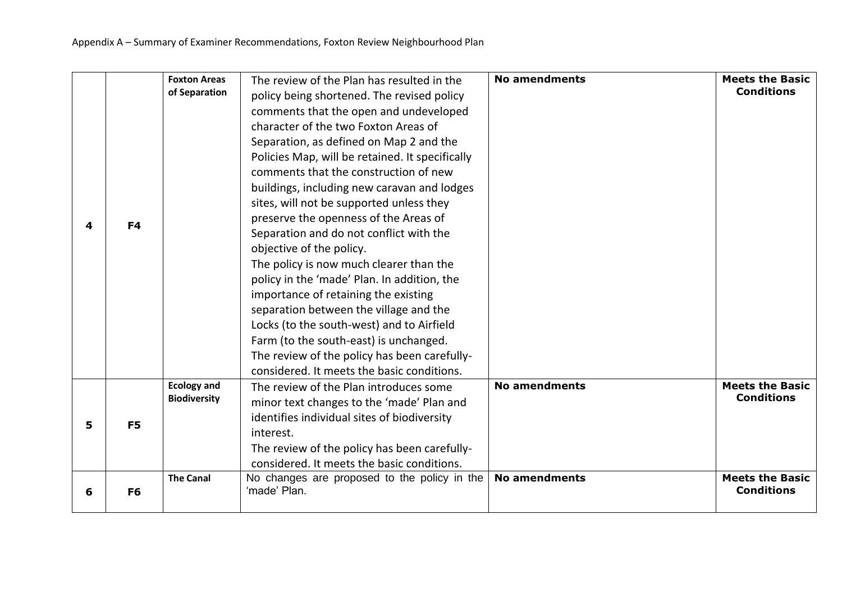| 4 | F4             | <b>Foxton Areas</b><br>of Separation      | The review of the Plan has resulted in the<br>policy being shortened. The revised policy<br>comments that the open and undeveloped<br>character of the two Foxton Areas of<br>Separation, as defined on Map 2 and the<br>Policies Map, will be retained. It specifically<br>comments that the construction of new<br>buildings, including new caravan and lodges<br>sites, will not be supported unless they<br>preserve the openness of the Areas of<br>Separation and do not conflict with the<br>objective of the policy.<br>The policy is now much clearer than the<br>policy in the 'made' Plan. In addition, the<br>importance of retaining the existing<br>separation between the village and the<br>Locks (to the south-west) and to Airfield<br>Farm (to the south-east) is unchanged.<br>The review of the policy has been carefully-<br>considered. It meets the basic conditions. | <b>No amendments</b> | <b>Meets the Basic</b><br><b>Conditions</b> |
|---|----------------|-------------------------------------------|-----------------------------------------------------------------------------------------------------------------------------------------------------------------------------------------------------------------------------------------------------------------------------------------------------------------------------------------------------------------------------------------------------------------------------------------------------------------------------------------------------------------------------------------------------------------------------------------------------------------------------------------------------------------------------------------------------------------------------------------------------------------------------------------------------------------------------------------------------------------------------------------------|----------------------|---------------------------------------------|
| 5 | F <sub>5</sub> | <b>Ecology and</b><br><b>Biodiversity</b> | The review of the Plan introduces some<br>minor text changes to the 'made' Plan and<br>identifies individual sites of biodiversity<br>interest.<br>The review of the policy has been carefully-<br>considered. It meets the basic conditions.                                                                                                                                                                                                                                                                                                                                                                                                                                                                                                                                                                                                                                                 | <b>No amendments</b> | <b>Meets the Basic</b><br><b>Conditions</b> |
| 6 | F <sub>6</sub> | <b>The Canal</b>                          | No changes are proposed to the policy in the<br>'made' Plan.                                                                                                                                                                                                                                                                                                                                                                                                                                                                                                                                                                                                                                                                                                                                                                                                                                  | <b>No amendments</b> | <b>Meets the Basic</b><br><b>Conditions</b> |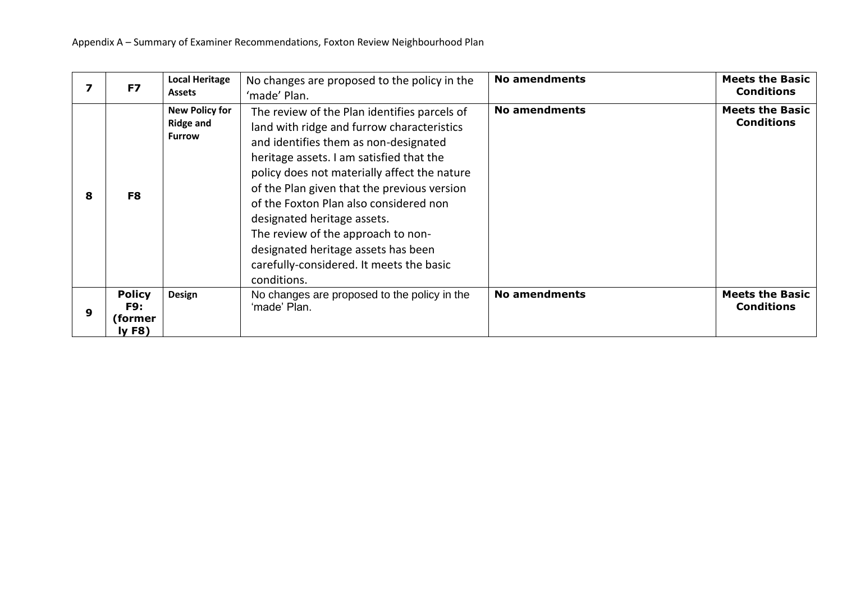|   | F7                                       | <b>Local Heritage</b><br><b>Assets</b>                     | No changes are proposed to the policy in the<br>'made' Plan.                                                                                                                                                                                                                                                                                                                                                                                                                                    | <b>No amendments</b> | <b>Meets the Basic</b><br><b>Conditions</b> |
|---|------------------------------------------|------------------------------------------------------------|-------------------------------------------------------------------------------------------------------------------------------------------------------------------------------------------------------------------------------------------------------------------------------------------------------------------------------------------------------------------------------------------------------------------------------------------------------------------------------------------------|----------------------|---------------------------------------------|
| 8 | F8                                       | <b>New Policy for</b><br><b>Ridge and</b><br><b>Furrow</b> | The review of the Plan identifies parcels of<br>land with ridge and furrow characteristics<br>and identifies them as non-designated<br>heritage assets. I am satisfied that the<br>policy does not materially affect the nature<br>of the Plan given that the previous version<br>of the Foxton Plan also considered non<br>designated heritage assets.<br>The review of the approach to non-<br>designated heritage assets has been<br>carefully-considered. It meets the basic<br>conditions. | <b>No amendments</b> | <b>Meets the Basic</b><br><b>Conditions</b> |
| 9 | <b>Policy</b><br>F9:<br>(former<br>lyF8) | Design                                                     | No changes are proposed to the policy in the<br>'made' Plan.                                                                                                                                                                                                                                                                                                                                                                                                                                    | <b>No amendments</b> | <b>Meets the Basic</b><br><b>Conditions</b> |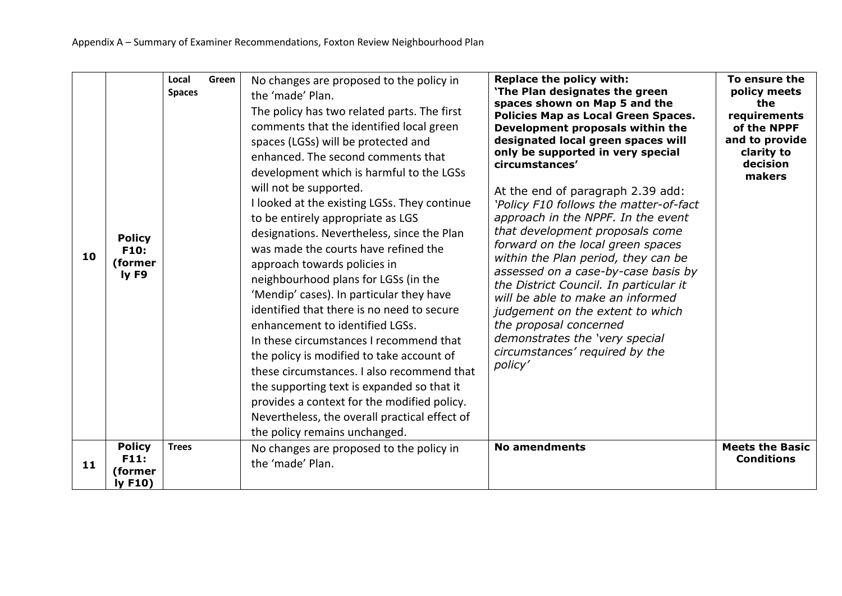| 10 | <b>Policy</b><br>F10:<br>(former<br>ly F9 | Local<br><b>Spaces</b> | Green | No changes are proposed to the policy in<br>the 'made' Plan.<br>The policy has two related parts. The first<br>comments that the identified local green<br>spaces (LGSs) will be protected and<br>enhanced. The second comments that<br>development which is harmful to the LGSs<br>will not be supported.<br>I looked at the existing LGSs. They continue<br>to be entirely appropriate as LGS<br>designations. Nevertheless, since the Plan<br>was made the courts have refined the<br>approach towards policies in<br>neighbourhood plans for LGSs (in the<br>'Mendip' cases). In particular they have<br>identified that there is no need to secure<br>enhancement to identified LGSs.<br>In these circumstances I recommend that<br>the policy is modified to take account of<br>these circumstances. I also recommend that<br>the supporting text is expanded so that it<br>provides a context for the modified policy.<br>Nevertheless, the overall practical effect of<br>the policy remains unchanged. | Replace the policy with:<br>'The Plan designates the green<br>spaces shown on Map 5 and the<br>Policies Map as Local Green Spaces.<br>Development proposals within the<br>designated local green spaces will<br>only be supported in very special<br>circumstances'<br>At the end of paragraph 2.39 add:<br>'Policy F10 follows the matter-of-fact<br>approach in the NPPF. In the event<br>that development proposals come<br>forward on the local green spaces<br>within the Plan period, they can be<br>assessed on a case-by-case basis by<br>the District Council. In particular it<br>will be able to make an informed<br>judgement on the extent to which<br>the proposal concerned<br>demonstrates the 'very special<br>circumstances' required by the<br>policy' | To ensure the<br>policy meets<br>the<br>requirements<br>of the NPPF<br>and to provide<br>clarity to<br>decision<br>makers |
|----|-------------------------------------------|------------------------|-------|-----------------------------------------------------------------------------------------------------------------------------------------------------------------------------------------------------------------------------------------------------------------------------------------------------------------------------------------------------------------------------------------------------------------------------------------------------------------------------------------------------------------------------------------------------------------------------------------------------------------------------------------------------------------------------------------------------------------------------------------------------------------------------------------------------------------------------------------------------------------------------------------------------------------------------------------------------------------------------------------------------------------|---------------------------------------------------------------------------------------------------------------------------------------------------------------------------------------------------------------------------------------------------------------------------------------------------------------------------------------------------------------------------------------------------------------------------------------------------------------------------------------------------------------------------------------------------------------------------------------------------------------------------------------------------------------------------------------------------------------------------------------------------------------------------|---------------------------------------------------------------------------------------------------------------------------|
| 11 | <b>Policy</b><br>F11:<br>(former<br>IyF10 | <b>Trees</b>           |       | No changes are proposed to the policy in<br>the 'made' Plan.                                                                                                                                                                                                                                                                                                                                                                                                                                                                                                                                                                                                                                                                                                                                                                                                                                                                                                                                                    | <b>No amendments</b>                                                                                                                                                                                                                                                                                                                                                                                                                                                                                                                                                                                                                                                                                                                                                      | <b>Meets the Basic</b><br><b>Conditions</b>                                                                               |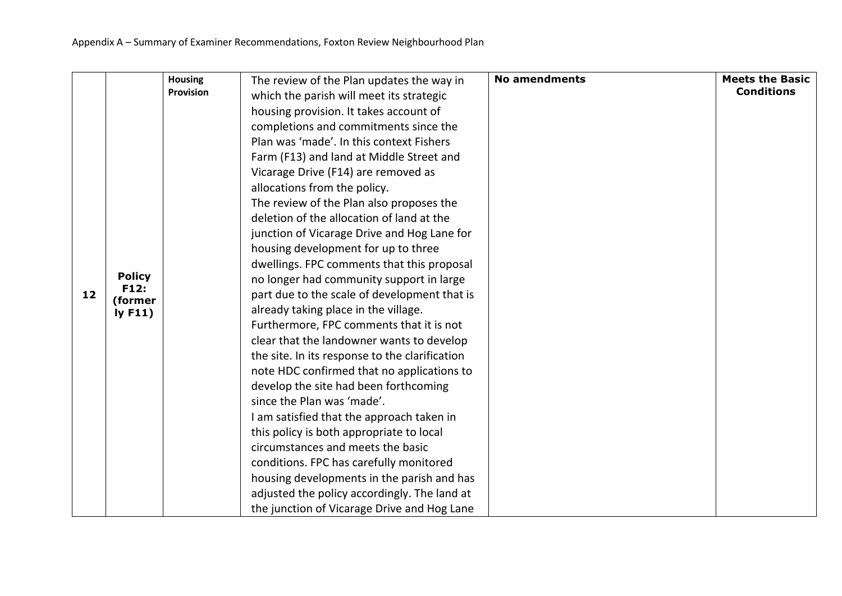| Farm (F13) and land at Middle Street and<br>Vicarage Drive (F14) are removed as<br>allocations from the policy.<br>The review of the Plan also proposes the                                                                                                                                                                                                                                                                                                                                                                                                                                                                                                                                                                                                                                                                                                                                                                                                 | <b>Meets the Basic</b><br><b>Conditions</b> |
|-------------------------------------------------------------------------------------------------------------------------------------------------------------------------------------------------------------------------------------------------------------------------------------------------------------------------------------------------------------------------------------------------------------------------------------------------------------------------------------------------------------------------------------------------------------------------------------------------------------------------------------------------------------------------------------------------------------------------------------------------------------------------------------------------------------------------------------------------------------------------------------------------------------------------------------------------------------|---------------------------------------------|
| deletion of the allocation of land at the<br>junction of Vicarage Drive and Hog Lane for<br>housing development for up to three<br>dwellings. FPC comments that this proposal<br><b>Policy</b><br>no longer had community support in large<br>F12:<br>part due to the scale of development that is<br>12<br>(former<br>already taking place in the village.<br>IyF11)<br>Furthermore, FPC comments that it is not<br>clear that the landowner wants to develop<br>the site. In its response to the clarification<br>note HDC confirmed that no applications to<br>develop the site had been forthcoming<br>since the Plan was 'made'.<br>I am satisfied that the approach taken in<br>this policy is both appropriate to local<br>circumstances and meets the basic<br>conditions. FPC has carefully monitored<br>housing developments in the parish and has<br>adjusted the policy accordingly. The land at<br>the junction of Vicarage Drive and Hog Lane |                                             |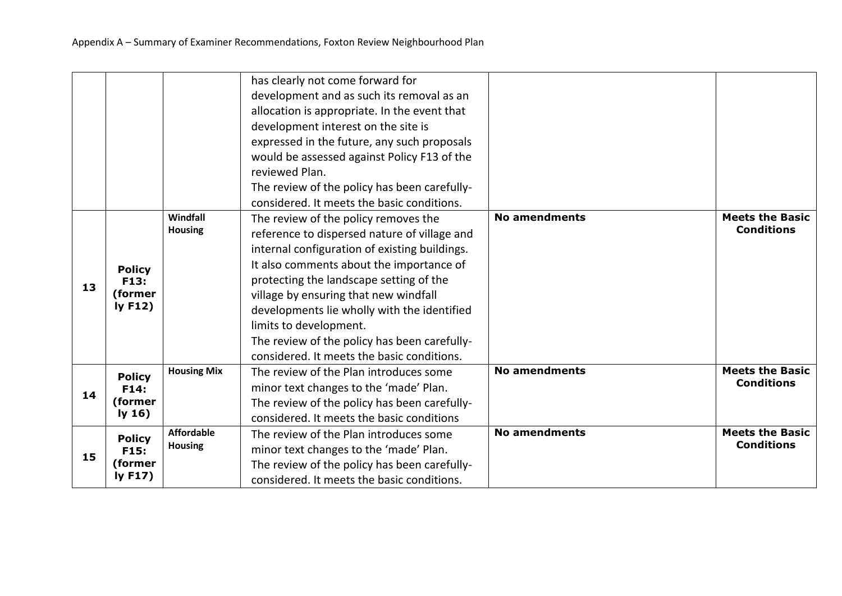|    |                                            |                                     | has clearly not come forward for<br>development and as such its removal as an<br>allocation is appropriate. In the event that<br>development interest on the site is<br>expressed in the future, any such proposals<br>would be assessed against Policy F13 of the<br>reviewed Plan.<br>The review of the policy has been carefully-<br>considered. It meets the basic conditions.                                                           |                      |                                             |
|----|--------------------------------------------|-------------------------------------|----------------------------------------------------------------------------------------------------------------------------------------------------------------------------------------------------------------------------------------------------------------------------------------------------------------------------------------------------------------------------------------------------------------------------------------------|----------------------|---------------------------------------------|
| 13 | <b>Policy</b><br>F13:<br>(former<br>IyF12) | Windfall<br><b>Housing</b>          | The review of the policy removes the<br>reference to dispersed nature of village and<br>internal configuration of existing buildings.<br>It also comments about the importance of<br>protecting the landscape setting of the<br>village by ensuring that new windfall<br>developments lie wholly with the identified<br>limits to development.<br>The review of the policy has been carefully-<br>considered. It meets the basic conditions. | <b>No amendments</b> | <b>Meets the Basic</b><br><b>Conditions</b> |
| 14 | <b>Policy</b><br>F14:<br>(former<br>Iy 16  | <b>Housing Mix</b>                  | The review of the Plan introduces some<br>minor text changes to the 'made' Plan.<br>The review of the policy has been carefully-<br>considered. It meets the basic conditions                                                                                                                                                                                                                                                                | <b>No amendments</b> | <b>Meets the Basic</b><br><b>Conditions</b> |
| 15 | <b>Policy</b><br>F15:<br>(former<br>Iy F17 | <b>Affordable</b><br><b>Housing</b> | The review of the Plan introduces some<br>minor text changes to the 'made' Plan.<br>The review of the policy has been carefully-<br>considered. It meets the basic conditions.                                                                                                                                                                                                                                                               | <b>No amendments</b> | <b>Meets the Basic</b><br><b>Conditions</b> |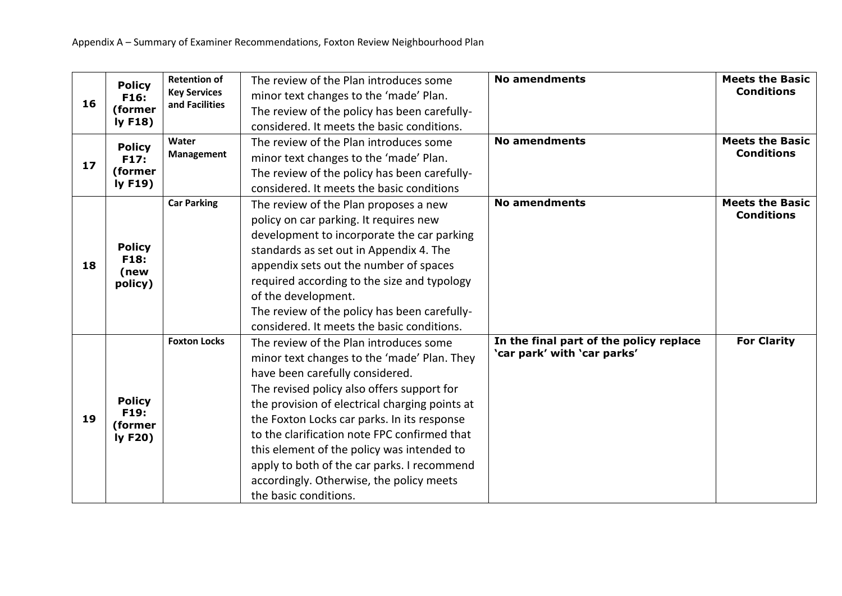|    | <b>Policy</b>         | <b>Retention of</b> | The review of the Plan introduces some         | <b>No amendments</b>                    | <b>Meets the Basic</b> |
|----|-----------------------|---------------------|------------------------------------------------|-----------------------------------------|------------------------|
| 16 | F16:                  | <b>Key Services</b> | minor text changes to the 'made' Plan.         |                                         | <b>Conditions</b>      |
|    | (former               | and Facilities      | The review of the policy has been carefully-   |                                         |                        |
|    | IyF18                 |                     | considered. It meets the basic conditions.     |                                         |                        |
|    | <b>Policy</b>         | Water               | The review of the Plan introduces some         | <b>No amendments</b>                    | <b>Meets the Basic</b> |
| 17 | F17:                  | Management          | minor text changes to the 'made' Plan.         |                                         | <b>Conditions</b>      |
|    | (former               |                     | The review of the policy has been carefully-   |                                         |                        |
|    | ly F19)               |                     | considered. It meets the basic conditions      |                                         |                        |
|    |                       | <b>Car Parking</b>  | The review of the Plan proposes a new          | <b>No amendments</b>                    | <b>Meets the Basic</b> |
|    |                       |                     | policy on car parking. It requires new         |                                         | <b>Conditions</b>      |
|    |                       |                     | development to incorporate the car parking     |                                         |                        |
|    | <b>Policy</b><br>F18: |                     | standards as set out in Appendix 4. The        |                                         |                        |
| 18 | (new                  |                     | appendix sets out the number of spaces         |                                         |                        |
|    | policy)               |                     | required according to the size and typology    |                                         |                        |
|    |                       |                     | of the development.                            |                                         |                        |
|    |                       |                     | The review of the policy has been carefully-   |                                         |                        |
|    |                       |                     | considered. It meets the basic conditions.     |                                         |                        |
|    |                       | <b>Foxton Locks</b> | The review of the Plan introduces some         | In the final part of the policy replace | <b>For Clarity</b>     |
|    |                       |                     | minor text changes to the 'made' Plan. They    | 'car park' with 'car parks'             |                        |
|    |                       |                     | have been carefully considered.                |                                         |                        |
|    |                       |                     | The revised policy also offers support for     |                                         |                        |
|    | <b>Policy</b><br>F19: |                     | the provision of electrical charging points at |                                         |                        |
| 19 | (former               |                     | the Foxton Locks car parks. In its response    |                                         |                        |
|    | Iy F20                |                     | to the clarification note FPC confirmed that   |                                         |                        |
|    |                       |                     | this element of the policy was intended to     |                                         |                        |
|    |                       |                     | apply to both of the car parks. I recommend    |                                         |                        |
|    |                       |                     | accordingly. Otherwise, the policy meets       |                                         |                        |
|    |                       |                     | the basic conditions.                          |                                         |                        |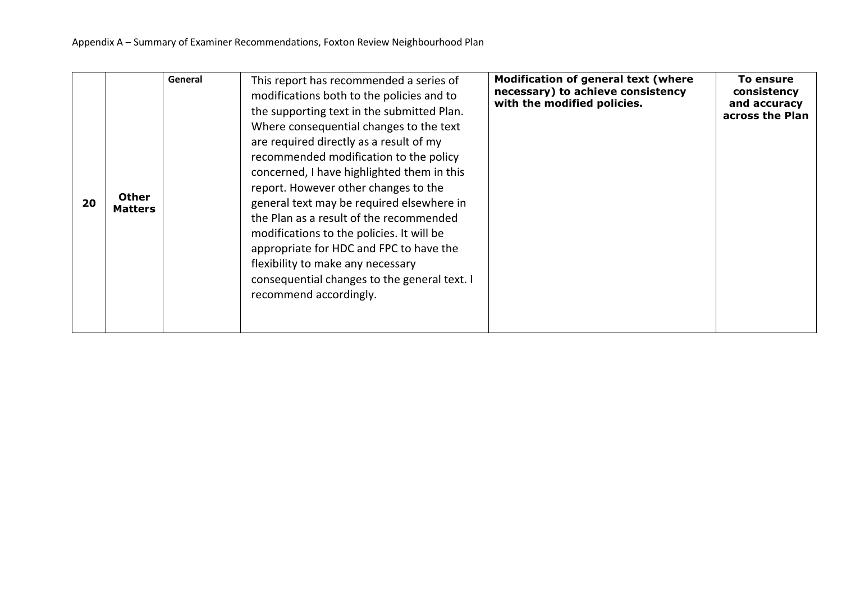| 20 | <b>Other</b><br><b>Matters</b> | General | This report has recommended a series of<br>modifications both to the policies and to<br>the supporting text in the submitted Plan.<br>Where consequential changes to the text<br>are required directly as a result of my<br>recommended modification to the policy<br>concerned, I have highlighted them in this<br>report. However other changes to the<br>general text may be required elsewhere in<br>the Plan as a result of the recommended<br>modifications to the policies. It will be<br>appropriate for HDC and FPC to have the<br>flexibility to make any necessary<br>consequential changes to the general text. I<br>recommend accordingly. | <b>Modification of general text (where</b><br>necessary) to achieve consistency<br>with the modified policies. | To ensure<br>consistency<br>and accuracy<br>across the Plan |
|----|--------------------------------|---------|---------------------------------------------------------------------------------------------------------------------------------------------------------------------------------------------------------------------------------------------------------------------------------------------------------------------------------------------------------------------------------------------------------------------------------------------------------------------------------------------------------------------------------------------------------------------------------------------------------------------------------------------------------|----------------------------------------------------------------------------------------------------------------|-------------------------------------------------------------|
|----|--------------------------------|---------|---------------------------------------------------------------------------------------------------------------------------------------------------------------------------------------------------------------------------------------------------------------------------------------------------------------------------------------------------------------------------------------------------------------------------------------------------------------------------------------------------------------------------------------------------------------------------------------------------------------------------------------------------------|----------------------------------------------------------------------------------------------------------------|-------------------------------------------------------------|